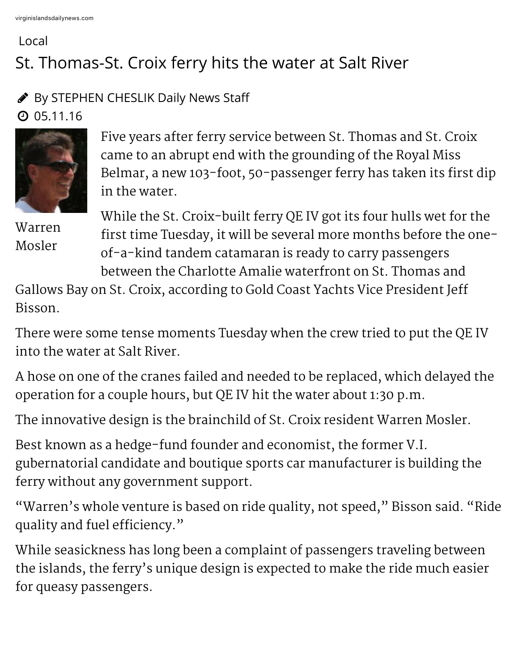## Local St. Thomas-St. Croix ferry hits the water at Salt River

## **By STEPHEN CHESLIK Daily News Staff**

 $Q$  05.11.16



Five years after ferry service between St. Thomas and St. Croix came to an abrupt end with the grounding of the Royal Miss Belmar, a new 103-foot, 50-passenger ferry has taken its first dip in the water.

Warren Mosler

While the St. Croix-built ferry QE IV got its four hulls wet for the first time Tuesday, it will be several more months before the oneof-a-kind tandem catamaran is ready to carry passengers between the Charlotte Amalie waterfront on St. Thomas and

Gallows Bay on St. Croix, according to Gold Coast Yachts Vice President Jeff Bisson.

There were some tense moments Tuesday when the crew tried to put the QE IV into the water at Salt River.

A hose on one of the cranes failed and needed to be replaced, which delayed the operation for a couple hours, but QE IV hit the water about 1:30 p.m.

The innovative design is the brainchild of St. Croix resident Warren Mosler.

Best known as a hedge-fund founder and economist, the former V.I. gubernatorial candidate and boutique sports car manufacturer is building the ferry without any government support.

"Warren's whole venture is based on ride quality, not speed," Bisson said. "Ride quality and fuel efficiency."

While seasickness has long been a complaint of passengers traveling between the islands, the ferry's unique design is expected to make the ride much easier for queasy passengers.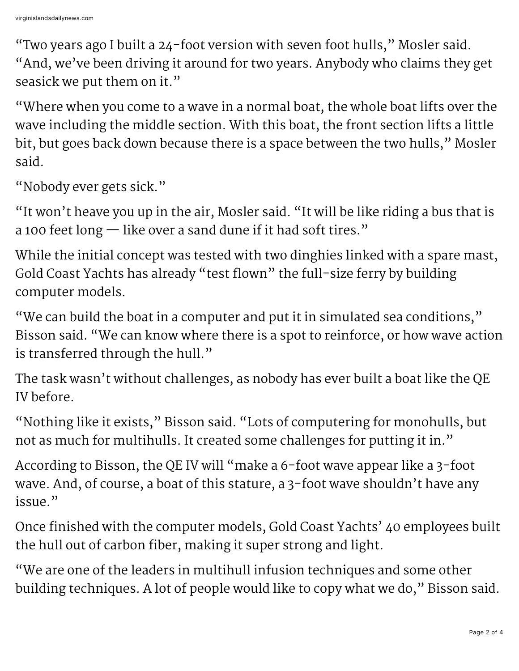"Two years ago I built a 24-foot version with seven foot hulls," Mosler said. "And, we've been driving it around for two years. Anybody who claims they get seasick we put them on it."

"Where when you come to a wave in a normal boat, the whole boat lifts over the wave including the middle section. With this boat, the front section lifts a little bit, but goes back down because there is a space between the two hulls," Mosler said.

"Nobody ever gets sick."

"It won't heave you up in the air, Mosler said. "It will be like riding a bus that is a 100 feet long — like over a sand dune if it had soft tires."

While the initial concept was tested with two dinghies linked with a spare mast, Gold Coast Yachts has already "test flown" the full-size ferry by building computer models.

"We can build the boat in a computer and put it in simulated sea conditions," Bisson said. "We can know where there is a spot to reinforce, or how wave action is transferred through the hull."

The task wasn't without challenges, as nobody has ever built a boat like the QE IV before.

"Nothing like it exists," Bisson said. "Lots of computering for monohulls, but not as much for multihulls. It created some challenges for putting it in."

According to Bisson, the QE IV will "make a 6-foot wave appear like a 3-foot wave. And, of course, a boat of this stature, a 3-foot wave shouldn't have any issue."

Once finished with the computer models, Gold Coast Yachts' 40 employees built the hull out of carbon fiber, making it super strong and light.

"We are one of the leaders in multihull infusion techniques and some other building techniques. A lot of people would like to copy what we do," Bisson said.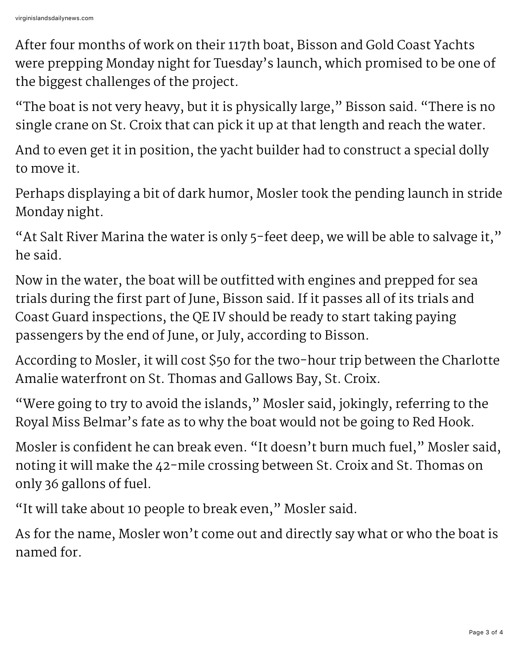After four months of work on their 117th boat, Bisson and Gold Coast Yachts were prepping Monday night for Tuesday's launch, which promised to be one of the biggest challenges of the project.

"The boat is not very heavy, but it is physically large," Bisson said. "There is no single crane on St. Croix that can pick it up at that length and reach the water.

And to even get it in position, the yacht builder had to construct a special dolly to move it.

Perhaps displaying a bit of dark humor, Mosler took the pending launch in stride Monday night.

"At Salt River Marina the water is only 5-feet deep, we will be able to salvage it," he said.

Now in the water, the boat will be outfitted with engines and prepped for sea trials during the first part of June, Bisson said. If it passes all of its trials and Coast Guard inspections, the QE IV should be ready to start taking paying passengers by the end of June, or July, according to Bisson.

According to Mosler, it will cost \$50 for the two-hour trip between the Charlotte Amalie waterfront on St. Thomas and Gallows Bay, St. Croix.

"Were going to try to avoid the islands," Mosler said, jokingly, referring to the Royal Miss Belmar's fate as to why the boat would not be going to Red Hook.

Mosler is confident he can break even. "It doesn't burn much fuel," Mosler said, noting it will make the 42-mile crossing between St. Croix and St. Thomas on only 36 gallons of fuel.

"It will take about 10 people to break even," Mosler said.

As for the name, Mosler won't come out and directly say what or who the boat is named for.